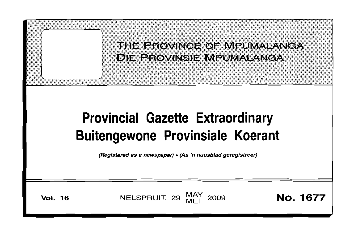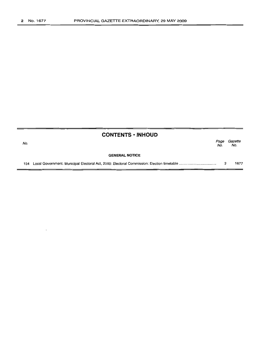|     | <b>CONTENTS · INHOUD</b> |             |   |                |
|-----|--------------------------|-------------|---|----------------|
| No. |                          | Page<br>No. |   | Gazette<br>No. |
|     | <b>GENERAL NOTICE</b>    |             |   |                |
|     |                          |             | 3 | 1677           |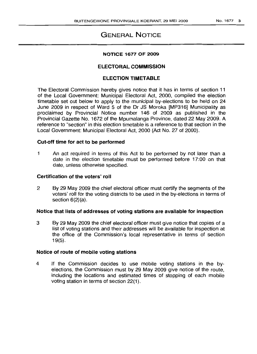# GENERAL NOTICE

#### NOTICE 1677 OF 2009

# ELECTORAL COMMISSION

## ELECTION TIMETABLE

The Electoral Commission hereby gives notice that it has in terms of section 11 of the Local Government: Municipal Electoral Act, 2000, compiled the election timetable set out below to apply to the municipal by-elections to be held on 24 June 2009 in respect of Ward 5 of the Dr JS Moroka [MP316] Municipality as proclaimed by Provincial Notice number 146 of 2009 as published in the Provincial Gazette No. 1672 of the Mpumalanga Province, dated 22 May 2009. A reference to "section" in this election timetable is a reference to that section in the Local Government: Municipal Electoral Act, 2000 (Act No. 27 of 2000).

## Cut-off time for act to be performed

1 An act required in terms of this Act to be performed by not later than a date in the election timetable must be performed before 17:00 on that date, unless otherwise specified.

#### Certification of the voters' roll

2 By 29 May 2009 the chief electoral officer must certify the segments of the voters' roll for the voting districts to be used in the by-elections in terms of section  $6(2)(a)$ .

#### Notice that lists of addresses of voting stations are available for inspection

3 By 29 May 2009 the chief electoral officer must give notice that copies of a list of voting stations and their addresses will be available for inspection at the office of the Commission's local representative in terms of section 19(5).

## Notice of route of mobile voting stations

4 If the Commission decides to use mobile voting stations in the byelections, the Commission must by 29 May 2009 give notice of the route, including the locations and estimated times of stopping of each mobile voting station in terms of section 22(1).